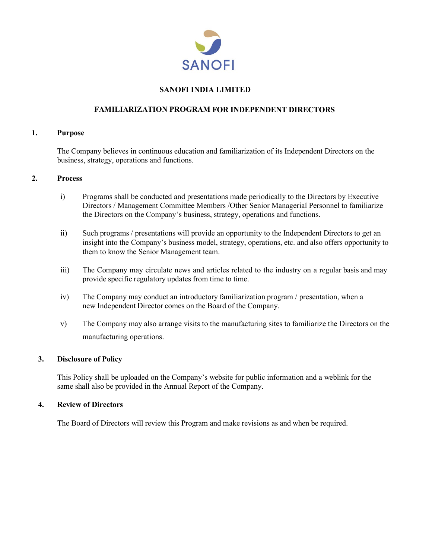

## **SANOFI INDIA LIMITED**

## **FAMILIARIZATION PROGRAM FOR INDEPENDENT DIRECTORS**

### **1. Purpose**

The Company believes in continuous education and familiarization of its Independent Directors on the business, strategy, operations and functions.

### **2. Process**

- i) Programs shall be conducted and presentations made periodically to the Directors by Executive Directors / Management Committee Members /Other Senior Managerial Personnel to familiarize the Directors on the Company's business, strategy, operations and functions.
- ii) Such programs / presentations will provide an opportunity to the Independent Directors to get an insight into the Company's business model, strategy, operations, etc. and also offers opportunity to them to know the Senior Management team.
- iii) The Company may circulate news and articles related to the industry on a regular basis and may provide specific regulatory updates from time to time.
- iv) The Company may conduct an introductory familiarization program / presentation, when a new Independent Director comes on the Board of the Company.
- v) The Company may also arrange visits to the manufacturing sites to familiarize the Directors on the manufacturing operations.

## **3. Disclosure of Policy**

This Policy shall be uploaded on the Company's website for public information and a weblink for the same shall also be provided in the Annual Report of the Company.

### **4. Review of Directors**

The Board of Directors will review this Program and make revisions as and when be required.